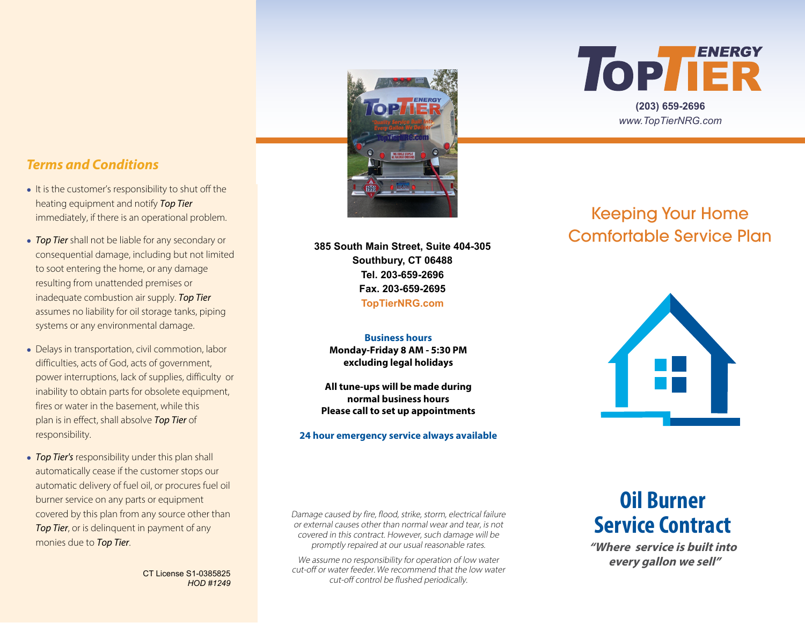



**(203) 659-2696** *www.TopTierNRG.com*

### *Terms and Conditions*

- **●** It is the customer's responsibility to shut off the heating equipment and notify Top Tier immediately, if there is an operational problem.
- **●** Top Tier shall not be liable for any secondary or consequential damage, including but not limited to soot entering the home, or any damage resulting from unattended premises or inadequate combustion air supply. Top Tier assumes no liability for oil storage tanks, piping systems or any environmental damage.
- **●** Delays in transportation, civil commotion, labor difficulties, acts of God, acts of government, power interruptions, lack of supplies, difficulty or inability to obtain parts for obsolete equipment, fires or water in the basement, while this plan is in effect, shall absolve Top Tier of responsibility.
- **●** Top Tier's responsibility under this plan shall automatically cease if the customer stops our automatic delivery of fuel oil, or procures fuel oil burner service on any parts or equipment covered by this plan from any source other than Top Tier, or is delinquent in payment of any

CT License S1-0385825 *HOD #1249* **385 South Main Street, Suite 404-305 Southbury, CT 06488 Tel. 203-659-2696 Fax. 203-659-2695 TopTierNRG.com**

**Business hours Monday-Friday 8 AM - 5:30 PM excluding legal holidays**

**All tune-ups will be made during normal business hours Please call to set up appointments**

#### **24 hour emergency service always available**

# Keeping Your Home Comfortable Service Plan



monies due to Top Tier. **The Times of The Times of The Contract of Times and Times and Times are all the Contract of the Times of the Times of the Times of the Times of the Times of the Times of the Times of the Times of t** Damage caused by fire, flood, strike, storm, electrical failure or external causes other than normal wear and tear, is not covered in this contract. However, such damage will be

> We assume no responsibility for operation of low water cut-off or water feeder. We recommend that the low water cut-off control be flushed periodically.

# **Oil Burner Service Contract**

 **every gallon we sell"**